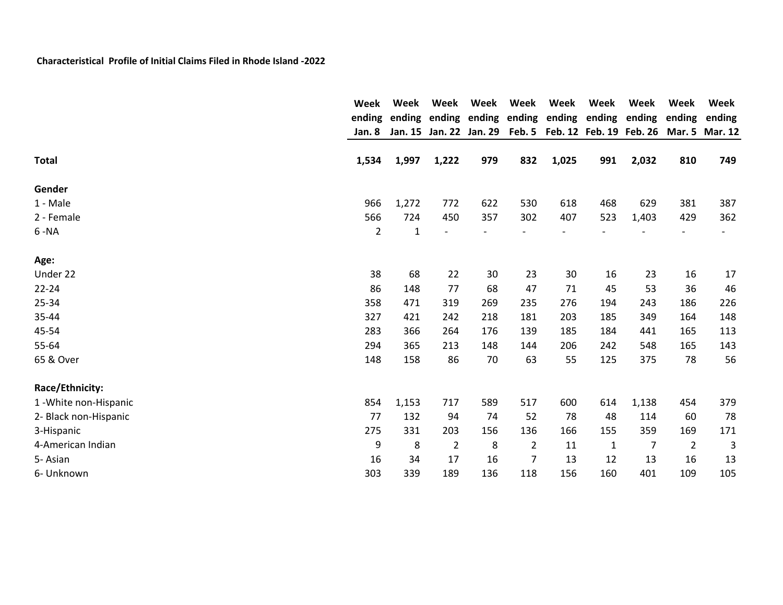|                        | Week           | Week         | Week           | Week | Week<br>ending ending ending ending ending ending ending ending<br>Jan. 15 Jan. 22 Jan. 29 Feb. 5 Feb. 12 Feb. 19 Feb. 26 Mar. 5 Mar. 12 | Week  | Week         | Week           | <b>Week</b>    | Week   |
|------------------------|----------------|--------------|----------------|------|------------------------------------------------------------------------------------------------------------------------------------------|-------|--------------|----------------|----------------|--------|
|                        |                |              |                |      |                                                                                                                                          |       |              |                | ending         | ending |
|                        | Jan. 8         |              |                |      |                                                                                                                                          |       |              |                |                |        |
| <b>Total</b>           | 1,534          | 1,997        | 1,222          | 979  | 832                                                                                                                                      | 1,025 | 991          | 2,032          | 810            | 749    |
| Gender                 |                |              |                |      |                                                                                                                                          |       |              |                |                |        |
| 1 - Male               | 966            | 1,272        | 772            | 622  | 530                                                                                                                                      | 618   | 468          | 629            | 381            | 387    |
| 2 - Female             | 566            | 724          | 450            | 357  | 302                                                                                                                                      | 407   | 523          | 1,403          | 429            | 362    |
| $6 - NA$               | $\overline{2}$ | $\mathbf{1}$ |                |      |                                                                                                                                          |       |              |                |                |        |
| Age:                   |                |              |                |      |                                                                                                                                          |       |              |                |                |        |
| Under 22               | 38             | 68           | 22             | 30   | 23                                                                                                                                       | 30    | 16           | 23             | 16             | 17     |
| $22 - 24$              | 86             | 148          | 77             | 68   | 47                                                                                                                                       | 71    | 45           | 53             | 36             | 46     |
| 25-34                  | 358            | 471          | 319            | 269  | 235                                                                                                                                      | 276   | 194          | 243            | 186            | 226    |
| 35-44                  | 327            | 421          | 242            | 218  | 181                                                                                                                                      | 203   | 185          | 349            | 164            | 148    |
| 45-54                  | 283            | 366          | 264            | 176  | 139                                                                                                                                      | 185   | 184          | 441            | 165            | 113    |
| 55-64                  | 294            | 365          | 213            | 148  | 144                                                                                                                                      | 206   | 242          | 548            | 165            | 143    |
| 65 & Over              | 148            | 158          | 86             | 70   | 63                                                                                                                                       | 55    | 125          | 375            | 78             | 56     |
| Race/Ethnicity:        |                |              |                |      |                                                                                                                                          |       |              |                |                |        |
| 1 - White non-Hispanic | 854            | 1,153        | 717            | 589  | 517                                                                                                                                      | 600   | 614          | 1,138          | 454            | 379    |
| 2- Black non-Hispanic  | 77             | 132          | 94             | 74   | 52                                                                                                                                       | 78    | 48           | 114            | 60             | 78     |
| 3-Hispanic             | 275            | 331          | 203            | 156  | 136                                                                                                                                      | 166   | 155          | 359            | 169            | 171    |
| 4-American Indian      | 9              | 8            | $\overline{2}$ | 8    | $\overline{2}$                                                                                                                           | 11    | $\mathbf{1}$ | $\overline{7}$ | $\overline{2}$ | 3      |
| 5-Asian                | 16             | 34           | 17             | 16   | $\overline{7}$                                                                                                                           | 13    | 12           | 13             | 16             | 13     |
| 6- Unknown             | 303            | 339          | 189            | 136  | 118                                                                                                                                      | 156   | 160          | 401            | 109            | 105    |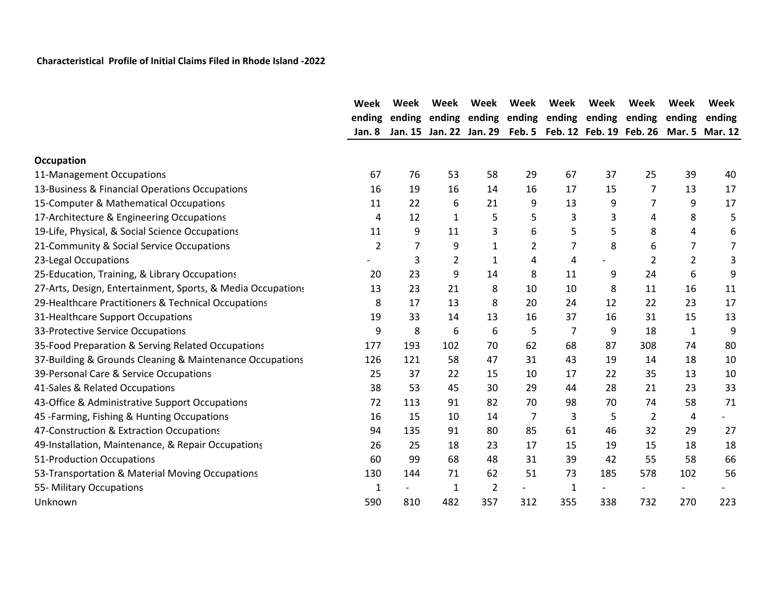|                                                             | Week   | Week   | Week           | Week                    | Week | Week           | Week                                          | Week           | Week           | Week   |
|-------------------------------------------------------------|--------|--------|----------------|-------------------------|------|----------------|-----------------------------------------------|----------------|----------------|--------|
|                                                             | ending | ending |                |                         |      |                | ending ending ending ending ending ending     |                | ending         | ending |
|                                                             | Jan. 8 |        |                | Jan. 15 Jan. 22 Jan. 29 |      |                | Feb. 5 Feb. 12 Feb. 19 Feb. 26 Mar. 5 Mar. 12 |                |                |        |
| Occupation                                                  |        |        |                |                         |      |                |                                               |                |                |        |
| 11-Management Occupations                                   | 67     | 76     | 53             | 58                      | 29   | 67             | 37                                            | 25             | 39             | 40     |
| 13-Business & Financial Operations Occupations              | 16     | 19     | 16             | 14                      | 16   | 17             | 15                                            | 7              | 13             | 17     |
| 15-Computer & Mathematical Occupations                      | 11     | 22     | 6              | 21                      | 9    | 13             | 9                                             | 7              | 9              | 17     |
| 17-Architecture & Engineering Occupations                   | 4      | 12     | 1              | 5                       | 5    | 3              | 3                                             | 4              | 8              | 5      |
| 19-Life, Physical, & Social Science Occupations             | 11     | 9      | 11             | 3                       | 6    | 5              | 5                                             | 8              | 4              | 6      |
| 21-Community & Social Service Occupations                   | 2      | 7      | 9              | $\mathbf{1}$            | 2    | 7              | 8                                             | 6              | 7              | 7      |
| 23-Legal Occupations                                        |        | 3      | $\overline{2}$ | $\mathbf{1}$            | 4    | 4              |                                               | $\overline{2}$ | $\overline{2}$ | 3      |
| 25-Education, Training, & Library Occupations               | 20     | 23     | 9              | 14                      | 8    | 11             | 9                                             | 24             | 6              | 9      |
| 27-Arts, Design, Entertainment, Sports, & Media Occupations | 13     | 23     | 21             | 8                       | 10   | 10             | 8                                             | 11             | 16             | 11     |
| 29-Healthcare Practitioners & Technical Occupations         | 8      | 17     | 13             | 8                       | 20   | 24             | 12                                            | 22             | 23             | 17     |
| 31-Healthcare Support Occupations                           | 19     | 33     | 14             | 13                      | 16   | 37             | 16                                            | 31             | 15             | 13     |
| 33-Protective Service Occupations                           | 9      | 8      | 6              | 6                       | 5    | $\overline{7}$ | 9                                             | 18             | $\mathbf{1}$   | 9      |
| 35-Food Preparation & Serving Related Occupations           | 177    | 193    | 102            | 70                      | 62   | 68             | 87                                            | 308            | 74             | 80     |
| 37-Building & Grounds Cleaning & Maintenance Occupations    | 126    | 121    | 58             | 47                      | 31   | 43             | 19                                            | 14             | 18             | 10     |
| 39-Personal Care & Service Occupations                      | 25     | 37     | 22             | 15                      | 10   | 17             | 22                                            | 35             | 13             | 10     |
| 41-Sales & Related Occupations                              | 38     | 53     | 45             | 30                      | 29   | 44             | 28                                            | 21             | 23             | 33     |
| 43-Office & Administrative Support Occupations              | 72     | 113    | 91             | 82                      | 70   | 98             | 70                                            | 74             | 58             | 71     |
| 45 - Farming, Fishing & Hunting Occupations                 | 16     | 15     | 10             | 14                      | 7    | 3              | 5                                             | $\overline{2}$ | 4              |        |
| 47-Construction & Extraction Occupations                    | 94     | 135    | 91             | 80                      | 85   | 61             | 46                                            | 32             | 29             | 27     |
| 49-Installation, Maintenance, & Repair Occupations          | 26     | 25     | 18             | 23                      | 17   | 15             | 19                                            | 15             | 18             | 18     |
| 51-Production Occupations                                   | 60     | 99     | 68             | 48                      | 31   | 39             | 42                                            | 55             | 58             | 66     |
| 53-Transportation & Material Moving Occupations             | 130    | 144    | 71             | 62                      | 51   | 73             | 185                                           | 578            | 102            | 56     |
| 55- Military Occupations                                    | 1      |        | 1              | 2                       |      | $\mathbf{1}$   |                                               |                |                |        |
| Unknown                                                     | 590    | 810    | 482            | 357                     | 312  | 355            | 338                                           | 732            | 270            | 223    |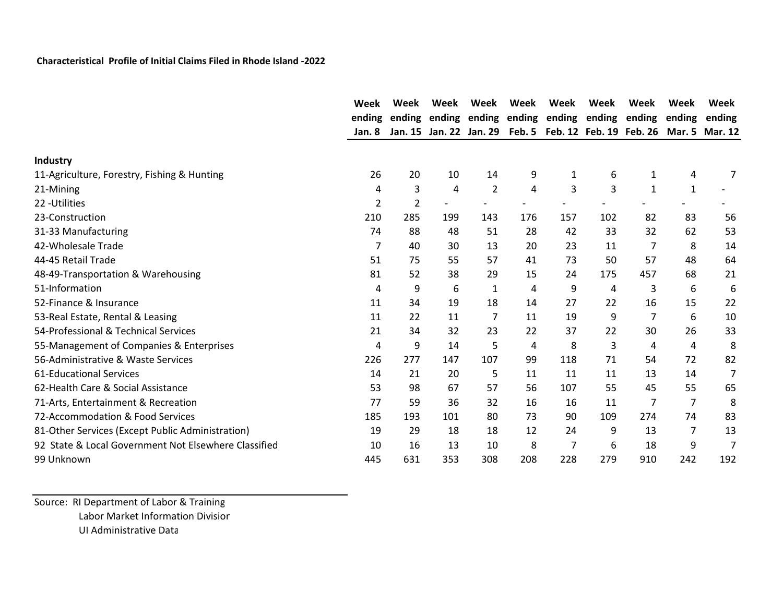|                                                      | Week   | Week           | Week | Week                    | Week | Week         | Week                                                    | Week | Week         | Week   |
|------------------------------------------------------|--------|----------------|------|-------------------------|------|--------------|---------------------------------------------------------|------|--------------|--------|
|                                                      | ending |                |      |                         |      |              | ending ending ending ending ending ending ending ending |      |              | ending |
|                                                      | Jan. 8 |                |      | Jan. 15 Jan. 22 Jan. 29 |      |              | Feb. 5 Feb. 12 Feb. 19 Feb. 26 Mar. 5 Mar. 12           |      |              |        |
| Industry                                             |        |                |      |                         |      |              |                                                         |      |              |        |
| 11-Agriculture, Forestry, Fishing & Hunting          | 26     | 20             | 10   | 14                      | 9    | $\mathbf{1}$ | 6                                                       | 1    | 4            | 7      |
| 21-Mining                                            | 4      | 3              | 4    | $\overline{2}$          | 4    | 3            | 3                                                       | 1    | $\mathbf{1}$ |        |
| 22 - Utilities                                       | 2      | $\overline{2}$ |      |                         |      |              |                                                         |      |              |        |
| 23-Construction                                      | 210    | 285            | 199  | 143                     | 176  | 157          | 102                                                     | 82   | 83           | 56     |
| 31-33 Manufacturing                                  | 74     | 88             | 48   | 51                      | 28   | 42           | 33                                                      | 32   | 62           | 53     |
| 42-Wholesale Trade                                   | 7      | 40             | 30   | 13                      | 20   | 23           | 11                                                      | 7    | 8            | 14     |
| 44-45 Retail Trade                                   | 51     | 75             | 55   | 57                      | 41   | 73           | 50                                                      | 57   | 48           | 64     |
| 48-49-Transportation & Warehousing                   | 81     | 52             | 38   | 29                      | 15   | 24           | 175                                                     | 457  | 68           | 21     |
| 51-Information                                       | 4      | 9              | 6    | 1                       | 4    | 9            | 4                                                       | 3    | 6            | 6      |
| 52-Finance & Insurance                               | 11     | 34             | 19   | 18                      | 14   | 27           | 22                                                      | 16   | 15           | 22     |
| 53-Real Estate, Rental & Leasing                     | 11     | 22             | 11   | 7                       | 11   | 19           | 9                                                       | 7    | 6            | 10     |
| 54-Professional & Technical Services                 | 21     | 34             | 32   | 23                      | 22   | 37           | 22                                                      | 30   | 26           | 33     |
| 55-Management of Companies & Enterprises             | 4      | 9              | 14   | 5                       | 4    | 8            | 3                                                       | 4    | 4            | 8      |
| 56-Administrative & Waste Services                   | 226    | 277            | 147  | 107                     | 99   | 118          | 71                                                      | 54   | 72           | 82     |
| <b>61-Educational Services</b>                       | 14     | 21             | 20   | 5                       | 11   | 11           | 11                                                      | 13   | 14           | 7      |
| 62-Health Care & Social Assistance                   | 53     | 98             | 67   | 57                      | 56   | 107          | 55                                                      | 45   | 55           | 65     |
| 71-Arts, Entertainment & Recreation                  | 77     | 59             | 36   | 32                      | 16   | 16           | 11                                                      | 7    | 7            | 8      |
| 72-Accommodation & Food Services                     | 185    | 193            | 101  | 80                      | 73   | 90           | 109                                                     | 274  | 74           | 83     |
| 81-Other Services (Except Public Administration)     | 19     | 29             | 18   | 18                      | 12   | 24           | 9                                                       | 13   | 7            | 13     |
| 92 State & Local Government Not Elsewhere Classified | 10     | 16             | 13   | 10                      | 8    | 7            | 6                                                       | 18   | 9            | 7      |
| 99 Unknown                                           | 445    | 631            | 353  | 308                     | 208  | 228          | 279                                                     | 910  | 242          | 192    |

Source: RI Department of Labor & Training Labor Market Information Division UI Administrative Data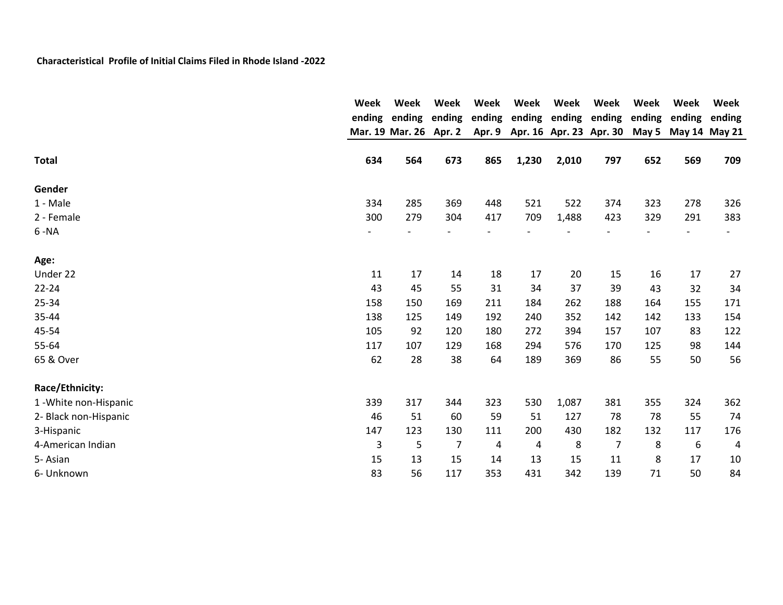|                        | Week         | Week                   | Week           | Week   | Week<br>ending | Week  | Week                    | Week   | <b>Week</b>   | Week<br>ending |  |
|------------------------|--------------|------------------------|----------------|--------|----------------|-------|-------------------------|--------|---------------|----------------|--|
|                        |              | ending ending ending   |                | ending |                |       | ending ending           | ending | ending        |                |  |
|                        |              | Mar. 19 Mar. 26 Apr. 2 |                | Apr. 9 |                |       | Apr. 16 Apr. 23 Apr. 30 | May 5  | May 14 May 21 |                |  |
| <b>Total</b>           | 634          | 564                    | 673            | 865    | 1,230          | 2,010 | 797                     | 652    | 569           | 709            |  |
| Gender                 |              |                        |                |        |                |       |                         |        |               |                |  |
| 1 - Male               | 334          | 285                    | 369            | 448    | 521            | 522   | 374                     | 323    | 278           | 326            |  |
| 2 - Female             | 300          | 279                    | 304            | 417    | 709            | 1,488 | 423                     | 329    | 291           | 383            |  |
| $6 - NA$               |              |                        |                |        |                |       |                         |        |               |                |  |
| Age:                   |              |                        |                |        |                |       |                         |        |               |                |  |
| Under 22               | 11           | 17                     | 14             | 18     | 17             | 20    | 15                      | 16     | 17            | 27             |  |
| $22 - 24$              | 43           | 45                     | 55             | 31     | 34             | 37    | 39                      | 43     | 32            | 34             |  |
| 25-34                  | 158          | 150                    | 169            | 211    | 184            | 262   | 188                     | 164    | 155           | 171            |  |
| 35-44                  | 138          | 125                    | 149            | 192    | 240            | 352   | 142                     | 142    | 133           | 154            |  |
| 45-54                  | 105          | 92                     | 120            | 180    | 272            | 394   | 157                     | 107    | 83            | 122            |  |
| 55-64                  | 117          | 107                    | 129            | 168    | 294            | 576   | 170                     | 125    | 98            | 144            |  |
| 65 & Over              | 62           | 28                     | 38             | 64     | 189            | 369   | 86                      | 55     | 50            | 56             |  |
| Race/Ethnicity:        |              |                        |                |        |                |       |                         |        |               |                |  |
| 1 - White non-Hispanic | 339          | 317                    | 344            | 323    | 530            | 1,087 | 381                     | 355    | 324           | 362            |  |
| 2- Black non-Hispanic  | 46           | 51                     | 60             | 59     | 51             | 127   | 78                      | 78     | 55            | 74             |  |
| 3-Hispanic             | 147          | 123                    | 130            | 111    | 200            | 430   | 182                     | 132    | 117           | 176            |  |
| 4-American Indian      | $\mathsf{3}$ | 5                      | $\overline{7}$ | 4      | 4              | 8     | 7                       | 8      | 6             | 4              |  |
| 5-Asian                | 15           | 13                     | 15             | 14     | 13             | 15    | 11                      | 8      | 17            | 10             |  |
| 6- Unknown             | 83           | 56                     | 117            | 353    | 431            | 342   | 139                     | 71     | 50            | 84             |  |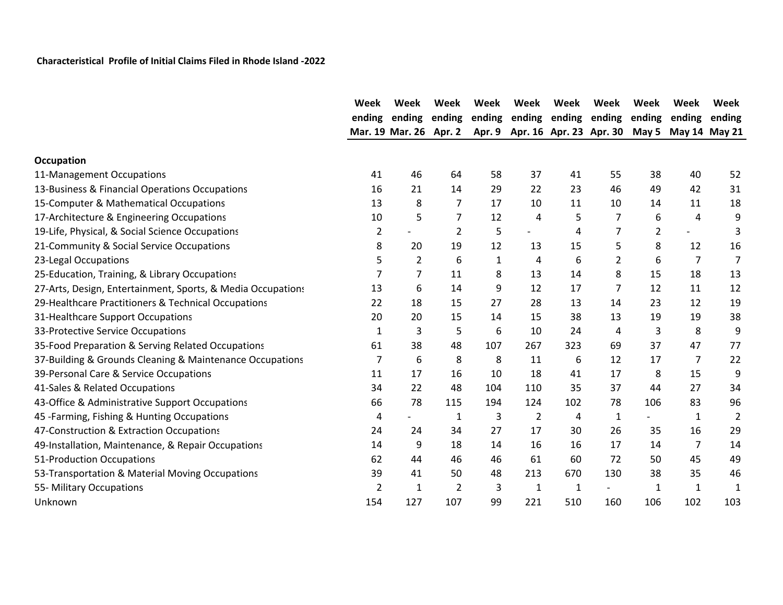|                                                             | Week           | Week                     | Week           | Week         | Week           | Week | Week                    | Week         | Week                     | Week           |
|-------------------------------------------------------------|----------------|--------------------------|----------------|--------------|----------------|------|-------------------------|--------------|--------------------------|----------------|
|                                                             | ending         | ending                   | ending         | ending       | ending         |      | ending ending           | ending       | ending                   | ending         |
|                                                             |                | Mar. 19 Mar. 26 Apr. 2   |                | Apr. 9       |                |      | Apr. 16 Apr. 23 Apr. 30 | May 5        | May 14 May 21            |                |
| <b>Occupation</b>                                           |                |                          |                |              |                |      |                         |              |                          |                |
| 11-Management Occupations                                   | 41             | 46                       | 64             | 58           | 37             | 41   | 55                      | 38           | 40                       | 52             |
| 13-Business & Financial Operations Occupations              | 16             | 21                       | 14             | 29           | 22             | 23   | 46                      | 49           | 42                       | 31             |
| 15-Computer & Mathematical Occupations                      | 13             | 8                        | 7              | 17           | 10             | 11   | 10                      | 14           | 11                       | 18             |
| 17-Architecture & Engineering Occupations                   | 10             | 5                        | 7              | 12           | 4              | 5    | 7                       | 6            | 4                        | 9              |
| 19-Life, Physical, & Social Science Occupations             | $\overline{2}$ | $\overline{\phantom{a}}$ | 2              | 5            | -              | 4    | 7                       | 2            | $\overline{\phantom{0}}$ | 3              |
| 21-Community & Social Service Occupations                   | 8              | 20                       | 19             | 12           | 13             | 15   | 5                       | 8            | 12                       | 16             |
| 23-Legal Occupations                                        | 5              | 2                        | 6              | $\mathbf{1}$ | 4              | 6    | 2                       | 6            | $\overline{7}$           | $\overline{7}$ |
| 25-Education, Training, & Library Occupations               | 7              | 7                        | 11             | 8            | 13             | 14   | 8                       | 15           | 18                       | 13             |
| 27-Arts, Design, Entertainment, Sports, & Media Occupations | 13             | 6                        | 14             | 9            | 12             | 17   | 7                       | 12           | 11                       | 12             |
| 29-Healthcare Practitioners & Technical Occupations         | 22             | 18                       | 15             | 27           | 28             | 13   | 14                      | 23           | 12                       | 19             |
| 31-Healthcare Support Occupations                           | 20             | 20                       | 15             | 14           | 15             | 38   | 13                      | 19           | 19                       | 38             |
| 33-Protective Service Occupations                           | 1              | 3                        | 5              | 6            | 10             | 24   | 4                       | 3            | 8                        | 9              |
| 35-Food Preparation & Serving Related Occupations           | 61             | 38                       | 48             | 107          | 267            | 323  | 69                      | 37           | 47                       | 77             |
| 37-Building & Grounds Cleaning & Maintenance Occupations    | 7              | 6                        | 8              | 8            | 11             | 6    | 12                      | 17           | $\overline{7}$           | 22             |
| 39-Personal Care & Service Occupations                      | 11             | 17                       | 16             | 10           | 18             | 41   | 17                      | 8            | 15                       | 9              |
| 41-Sales & Related Occupations                              | 34             | 22                       | 48             | 104          | 110            | 35   | 37                      | 44           | 27                       | 34             |
| 43-Office & Administrative Support Occupations              | 66             | 78                       | 115            | 194          | 124            | 102  | 78                      | 106          | 83                       | 96             |
| 45 - Farming, Fishing & Hunting Occupations                 | 4              |                          | 1              | 3            | $\overline{2}$ | 4    | $\mathbf{1}$            |              | $\mathbf{1}$             | $\overline{2}$ |
| 47-Construction & Extraction Occupations                    | 24             | 24                       | 34             | 27           | 17             | 30   | 26                      | 35           | 16                       | 29             |
| 49-Installation, Maintenance, & Repair Occupations          | 14             | 9                        | 18             | 14           | 16             | 16   | 17                      | 14           | 7                        | 14             |
| 51-Production Occupations                                   | 62             | 44                       | 46             | 46           | 61             | 60   | 72                      | 50           | 45                       | 49             |
| 53-Transportation & Material Moving Occupations             | 39             | 41                       | 50             | 48           | 213            | 670  | 130                     | 38           | 35                       | 46             |
| 55- Military Occupations                                    | $\overline{2}$ | $\mathbf{1}$             | $\overline{2}$ | 3            | $\mathbf{1}$   | 1    |                         | $\mathbf{1}$ | $\mathbf{1}$             | $\mathbf{1}$   |
| Unknown                                                     | 154            | 127                      | 107            | 99           | 221            | 510  | 160                     | 106          | 102                      | 103            |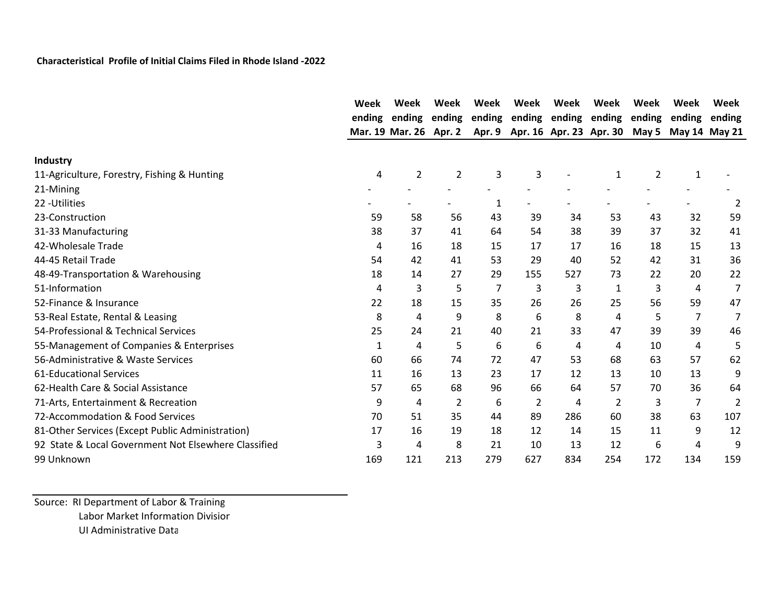|                                                      | Week   | Week                   | Week           | Week   | Week   | Week | Week                                        | Week   | Week         | Week   |
|------------------------------------------------------|--------|------------------------|----------------|--------|--------|------|---------------------------------------------|--------|--------------|--------|
|                                                      | ending | ending                 | ending         | ending | ending |      | ending ending                               | ending | ending       | ending |
|                                                      |        | Mar. 19 Mar. 26 Apr. 2 |                | Apr. 9 |        |      | Apr. 16 Apr. 23 Apr. 30 May 5 May 14 May 21 |        |              |        |
| <b>Industry</b>                                      |        |                        |                |        |        |      |                                             |        |              |        |
| 11-Agriculture, Forestry, Fishing & Hunting          | 4      | $\overline{2}$         | $\overline{2}$ | 3      | 3      |      | $\mathbf{1}$                                | 2      | $\mathbf{1}$ |        |
| 21-Mining                                            |        |                        |                |        |        |      |                                             |        |              |        |
| 22 - Utilities                                       |        |                        |                | 1      |        |      |                                             |        |              | 2      |
| 23-Construction                                      | 59     | 58                     | 56             | 43     | 39     | 34   | 53                                          | 43     | 32           | 59     |
| 31-33 Manufacturing                                  | 38     | 37                     | 41             | 64     | 54     | 38   | 39                                          | 37     | 32           | 41     |
| 42-Wholesale Trade                                   | 4      | 16                     | 18             | 15     | 17     | 17   | 16                                          | 18     | 15           | 13     |
| 44-45 Retail Trade                                   | 54     | 42                     | 41             | 53     | 29     | 40   | 52                                          | 42     | 31           | 36     |
| 48-49-Transportation & Warehousing                   | 18     | 14                     | 27             | 29     | 155    | 527  | 73                                          | 22     | 20           | 22     |
| 51-Information                                       | 4      | 3                      | 5              | 7      | 3      | 3    | 1                                           | 3      | 4            | 7      |
| 52-Finance & Insurance                               | 22     | 18                     | 15             | 35     | 26     | 26   | 25                                          | 56     | 59           | 47     |
| 53-Real Estate, Rental & Leasing                     | 8      | 4                      | 9              | 8      | 6      | 8    | 4                                           | 5      | 7            | 7      |
| 54-Professional & Technical Services                 | 25     | 24                     | 21             | 40     | 21     | 33   | 47                                          | 39     | 39           | 46     |
| 55-Management of Companies & Enterprises             | 1      | 4                      | 5              | 6      | 6      | 4    | 4                                           | 10     | 4            | 5      |
| 56-Administrative & Waste Services                   | 60     | 66                     | 74             | 72     | 47     | 53   | 68                                          | 63     | 57           | 62     |
| <b>61-Educational Services</b>                       | 11     | 16                     | 13             | 23     | 17     | 12   | 13                                          | 10     | 13           | 9      |
| 62-Health Care & Social Assistance                   | 57     | 65                     | 68             | 96     | 66     | 64   | 57                                          | 70     | 36           | 64     |
| 71-Arts, Entertainment & Recreation                  | 9      | 4                      | 2              | 6      | 2      | 4    | 2                                           | 3      | 7            | 2      |
| 72-Accommodation & Food Services                     | 70     | 51                     | 35             | 44     | 89     | 286  | 60                                          | 38     | 63           | 107    |
| 81-Other Services (Except Public Administration)     | 17     | 16                     | 19             | 18     | 12     | 14   | 15                                          | 11     | 9            | 12     |
| 92 State & Local Government Not Elsewhere Classified | 3      | 4                      | 8              | 21     | 10     | 13   | 12                                          | 6      | 4            | 9      |
| 99 Unknown                                           | 169    | 121                    | 213            | 279    | 627    | 834  | 254                                         | 172    | 134          | 159    |

Source: RI Department of Labor & Training Labor Market Information Division UI Administrative Data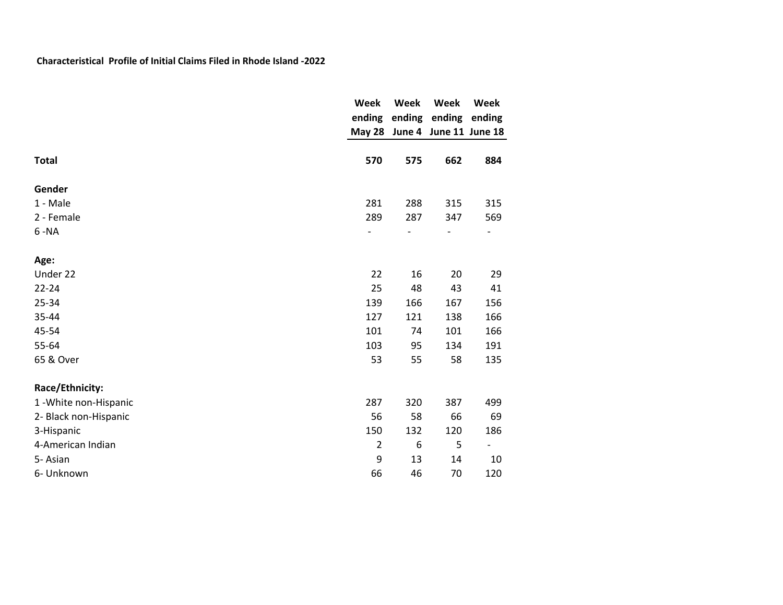|                        | Week           | Week             | Week                          | Week                         |
|------------------------|----------------|------------------|-------------------------------|------------------------------|
|                        | ending         |                  | ending ending                 | ending                       |
|                        |                |                  | May 28 June 4 June 11 June 18 |                              |
|                        |                |                  |                               |                              |
| <b>Total</b>           | 570            | 575              | 662                           | 884                          |
| Gender                 |                |                  |                               |                              |
| 1 - Male               | 281            | 288              | 315                           | 315                          |
| 2 - Female             | 289            | 287              | 347                           | 569                          |
| $6 - NA$               |                |                  |                               | $\overline{\phantom{a}}$     |
| Age:                   |                |                  |                               |                              |
| Under 22               | 22             | 16               | 20                            | 29                           |
| $22 - 24$              | 25             | 48               | 43                            | 41                           |
| 25-34                  | 139            | 166              | 167                           | 156                          |
| 35-44                  | 127            | 121              | 138                           | 166                          |
| 45-54                  | 101            | 74               | 101                           | 166                          |
| 55-64                  | 103            | 95               | 134                           | 191                          |
| 65 & Over              | 53             | 55               | 58                            | 135                          |
| Race/Ethnicity:        |                |                  |                               |                              |
| 1 - White non-Hispanic | 287            | 320              | 387                           | 499                          |
| 2- Black non-Hispanic  | 56             | 58               | 66                            | 69                           |
| 3-Hispanic             | 150            | 132              | 120                           | 186                          |
| 4-American Indian      | $\overline{2}$ | $\boldsymbol{6}$ | 5                             | $\qquad \qquad \blacksquare$ |
| 5-Asian                | 9              | 13               | 14                            | 10                           |
| 6- Unknown             | 66             | 46               | 70                            | 120                          |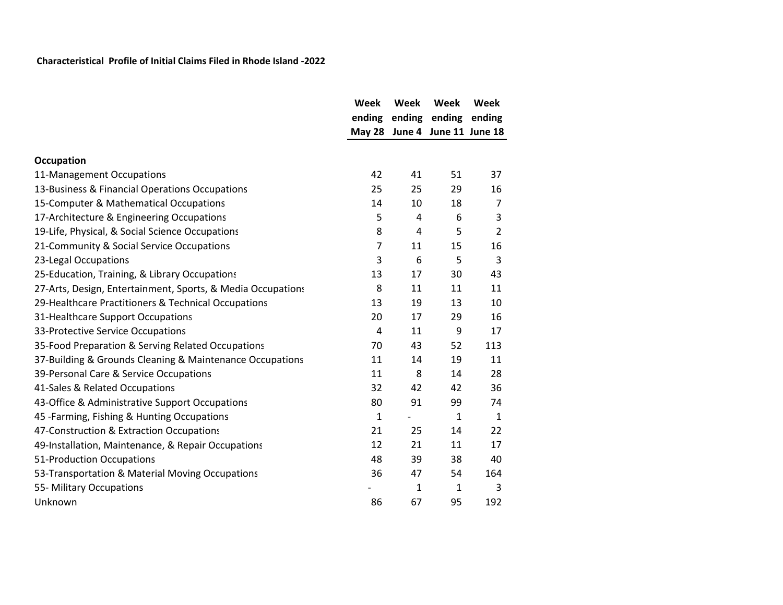|                                                             | Week           | Week | Week                          | Week           |
|-------------------------------------------------------------|----------------|------|-------------------------------|----------------|
|                                                             | ending         |      | ending ending                 | ending         |
|                                                             |                |      | May 28 June 4 June 11 June 18 |                |
| Occupation                                                  |                |      |                               |                |
| 11-Management Occupations                                   | 42             | 41   | 51                            | 37             |
| 13-Business & Financial Operations Occupations              | 25             | 25   | 29                            | 16             |
| 15-Computer & Mathematical Occupations                      | 14             | 10   | 18                            | 7              |
| 17-Architecture & Engineering Occupations                   | 5              | 4    | 6                             | 3              |
| 19-Life, Physical, & Social Science Occupations             | 8              | 4    | 5                             | $\overline{2}$ |
| 21-Community & Social Service Occupations                   | $\overline{7}$ | 11   | 15                            | 16             |
| 23-Legal Occupations                                        | 3              | 6    | 5                             | 3              |
| 25-Education, Training, & Library Occupations               | 13             | 17   | 30                            | 43             |
| 27-Arts, Design, Entertainment, Sports, & Media Occupations | 8              | 11   | 11                            | 11             |
| 29-Healthcare Practitioners & Technical Occupations         | 13             | 19   | 13                            | 10             |
| 31-Healthcare Support Occupations                           | 20             | 17   | 29                            | 16             |
| 33-Protective Service Occupations                           | $\overline{4}$ | 11   | 9                             | 17             |
| 35-Food Preparation & Serving Related Occupations           | 70             | 43   | 52                            | 113            |
| 37-Building & Grounds Cleaning & Maintenance Occupations    | 11             | 14   | 19                            | 11             |
| 39-Personal Care & Service Occupations                      | 11             | 8    | 14                            | 28             |
| 41-Sales & Related Occupations                              | 32             | 42   | 42                            | 36             |
| 43-Office & Administrative Support Occupations              | 80             | 91   | 99                            | 74             |
| 45 - Farming, Fishing & Hunting Occupations                 | $\mathbf{1}$   | -    | $\mathbf{1}$                  | $\mathbf{1}$   |
| 47-Construction & Extraction Occupations                    | 21             | 25   | 14                            | 22             |
| 49-Installation, Maintenance, & Repair Occupations          | 12             | 21   | 11                            | 17             |
| 51-Production Occupations                                   | 48             | 39   | 38                            | 40             |
| 53-Transportation & Material Moving Occupations             | 36             | 47   | 54                            | 164            |
| 55- Military Occupations                                    |                | 1    | $\mathbf{1}$                  | 3              |
| Unknown                                                     | 86             | 67   | 95                            | 192            |